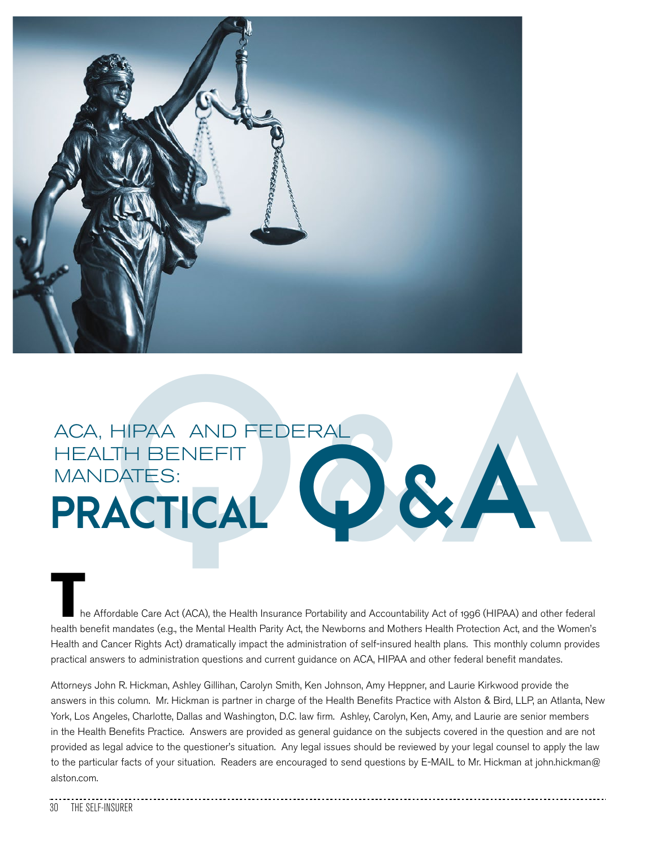

## ACA, HIPAA AND FEDERAL<br>HEALTH BENEFIT<br>**PRACTICAL** HEALTH BENEFIT MANDATES: HEALTH BENEFIT<br> **PRACTICAL**  $\bigcirc$  & A

he Affordable Care Act (ACA), the Health Insurance Portability and Accountability Act of 1996 (HIPAA) and other federal health benefit mandates (e.g., the Mental Health Parity Act, the Newborns and Mothers Health Protection Act, and the Women's Health and Cancer Rights Act) dramatically impact the administration of self-insured health plans. This monthly column provides practical answers to administration questions and current guidance on ACA, HIPAA and other federal benefit mandates.

Attorneys John R. Hickman, Ashley Gillihan, Carolyn Smith, Ken Johnson, Amy Heppner, and Laurie Kirkwood provide the answers in this column. Mr. Hickman is partner in charge of the Health Benefits Practice with Alston & Bird, LLP, an Atlanta, New York, Los Angeles, Charlotte, Dallas and Washington, D.C. law firm. Ashley, Carolyn, Ken, Amy, and Laurie are senior members in the Health Benefits Practice. Answers are provided as general guidance on the subjects covered in the question and are not provided as legal advice to the questioner's situation. Any legal issues should be reviewed by your legal counsel to apply the law to the particular facts of your situation. Readers are encouraged to send questions by E-MAIL to Mr. Hickman at john.hickman@ alston.com.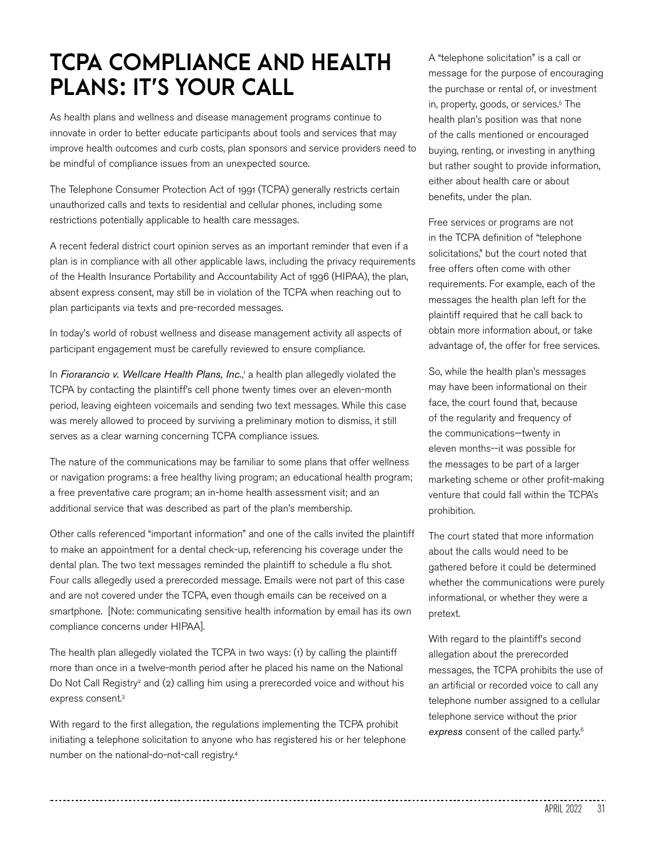## **TCPA COMPLIANCE AND HEALTH PLANS: IT'S YOUR CALL**

As health plans and wellness and disease management programs continue to innovate in order to better educate participants about tools and services that may improve health outcomes and curb costs, plan sponsors and service providers need to be mindful of compliance issues from an unexpected source.

The Telephone Consumer Protection Act of 1991 (TCPA) generally restricts certain unauthorized calls and texts to residential and cellular phones, including some restrictions potentially applicable to health care messages.

A recent federal district court opinion serves as an important reminder that even if a plan is in compliance with all other applicable laws, including the privacy requirements of the Health Insurance Portability and Accountability Act of 1996 (HIPAA), the plan, absent express consent, may still be in violation of the TCPA when reaching out to plan participants via texts and pre-recorded messages.

In today's world of robust wellness and disease management activity all aspects of participant engagement must be carefully reviewed to ensure compliance.

In Fiorarancio v. Wellcare Health Plans, Inc.,<sup>1</sup> a health plan allegedly violated the TCPA by contacting the plaintiff's cell phone twenty times over an eleven-month period, leaving eighteen voicemails and sending two text messages. While this case was merely allowed to proceed by surviving a preliminary motion to dismiss, it still serves as a clear warning concerning TCPA compliance issues.

The nature of the communications may be familiar to some plans that offer wellness or navigation programs: a free healthy living program; an educational health program; a free preventative care program; an in-home health assessment visit; and an additional service that was described as part of the plan's membership.

Other calls referenced "important information" and one of the calls invited the plaintiff to make an appointment for a dental check-up, referencing his coverage under the dental plan. The two text messages reminded the plaintiff to schedule a flu shot. Four calls allegedly used a prerecorded message. Emails were not part of this case and are not covered under the TCPA, even though emails can be received on a smartphone. [Note: communicating sensitive health information by email has its own compliance concerns under HIPAA].

The health plan allegedly violated the TCPA in two ways: (1) by calling the plaintiff more than once in a twelve-month period after he placed his name on the National Do Not Call Registry<sup>2</sup> and (2) calling him using a prerecorded voice and without his express consent.3

With regard to the first allegation, the regulations implementing the TCPA prohibit initiating a telephone solicitation to anyone who has registered his or her telephone number on the national-do-not-call registry.4

A "telephone solicitation" is a call or message for the purpose of encouraging the purchase or rental of, or investment in, property, goods, or services.5 The health plan's position was that none of the calls mentioned or encouraged buying, renting, or investing in anything but rather sought to provide information, either about health care or about benefits, under the plan.

Free services or programs are not in the TCPA definition of "telephone solicitations," but the court noted that free offers often come with other requirements. For example, each of the messages the health plan left for the plaintiff required that he call back to obtain more information about, or take advantage of, the offer for free services.

So, while the health plan's messages may have been informational on their face, the court found that, because of the regularity and frequency of the communications—twenty in eleven months--it was possible for the messages to be part of a larger marketing scheme or other profit-making venture that could fall within the TCPA's prohibition.

The court stated that more information about the calls would need to be gathered before it could be determined whether the communications were purely informational, or whether they were a pretext.

With regard to the plaintiff's second allegation about the prerecorded messages, the TCPA prohibits the use of an artificial or recorded voice to call any telephone number assigned to a cellular telephone service without the prior *express* consent of the called party.6